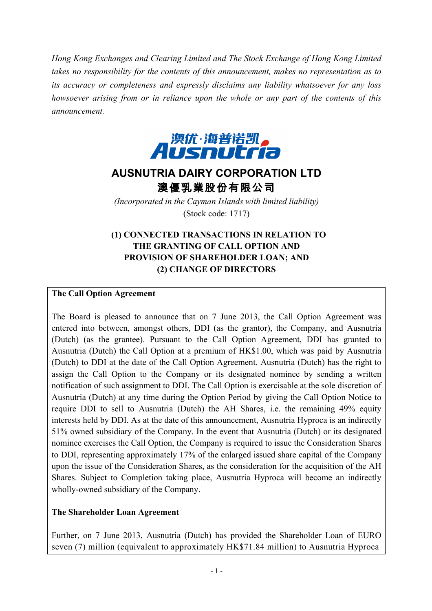*Hong Kong Exchanges and Clearing Limited and The Stock Exchange of Hong Kong Limited takes no responsibility for the contents of this announcement, makes no representation as to its accuracy or completeness and expressly disclaims any liability whatsoever for any loss howsoever arising from or in reliance upon the whole or any part of the contents of this announcement.*



# **AUSNUTRIA DAIRY CORPORATION LTD** 澳優乳業股份有限公司

*(Incorporated in the Cayman Islands with limited liability)* (Stock code: 1717)

### **(1) CONNECTED TRANSACTIONS IN RELATION TO THE GRANTING OF CALL OPTION AND PROVISION OF SHAREHOLDER LOAN; AND (2) CHANGE OF DIRECTORS**

#### **The Call Option Agreement**

The Board is pleased to announce that on 7 June 2013, the Call Option Agreement was entered into between, amongst others, DDI (as the grantor), the Company, and Ausnutria (Dutch) (as the grantee). Pursuant to the Call Option Agreement, DDI has granted to Ausnutria (Dutch) the Call Option at a premium of HK\$1.00, which was paid by Ausnutria (Dutch) to DDI at the date of the Call Option Agreement. Ausnutria (Dutch) has the right to assign the Call Option to the Company or its designated nominee by sending a written notification of such assignment to DDI. The Call Option is exercisable at the sole discretion of Ausnutria (Dutch) at any time during the Option Period by giving the Call Option Notice to require DDI to sell to Ausnutria (Dutch) the AH Shares, i.e. the remaining 49% equity interests held by DDI. As at the date of this announcement, Ausnutria Hyproca is an indirectly 51% owned subsidiary of the Company. In the event that Ausnutria (Dutch) or its designated nominee exercises the Call Option, the Company is required to issue the Consideration Shares to DDI, representing approximately 17% of the enlarged issued share capital of the Company upon the issue of the Consideration Shares, as the consideration for the acquisition of the AH Shares. Subject to Completion taking place, Ausnutria Hyproca will become an indirectly wholly-owned subsidiary of the Company.

### **The Shareholder Loan Agreement**

Further, on 7 June 2013, Ausnutria (Dutch) has provided the Shareholder Loan of EURO seven (7) million (equivalent to approximately HK\$71.84 million) to Ausnutria Hyproca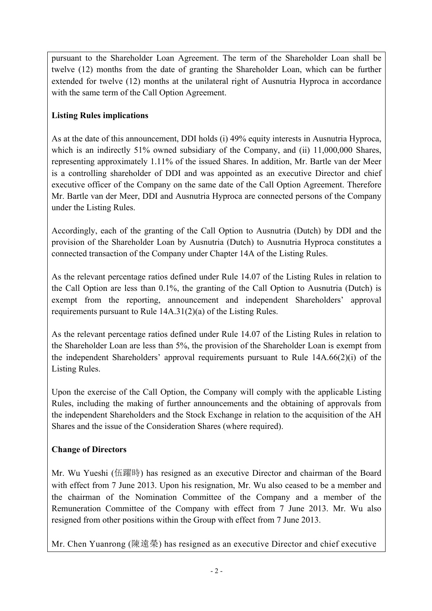pursuant to the Shareholder Loan Agreement. The term of the Shareholder Loan shall be twelve (12) months from the date of granting the Shareholder Loan, which can be further extended for twelve (12) months at the unilateral right of Ausnutria Hyproca in accordance with the same term of the Call Option Agreement.

### **Listing Rules implications**

As at the date of this announcement, DDI holds (i) 49% equity interests in Ausnutria Hyproca, which is an indirectly 51% owned subsidiary of the Company, and (ii) 11,000,000 Shares, representing approximately 1.11% of the issued Shares. In addition, Mr. Bartle van der Meer is a controlling shareholder of DDI and was appointed as an executive Director and chief executive officer of the Company on the same date of the Call Option Agreement. Therefore Mr. Bartle van der Meer, DDI and Ausnutria Hyproca are connected persons of the Company under the Listing Rules.

Accordingly, each of the granting of the Call Option to Ausnutria (Dutch) by DDI and the provision of the Shareholder Loan by Ausnutria (Dutch) to Ausnutria Hyproca constitutes a connected transaction of the Company under Chapter 14A of the Listing Rules.

As the relevant percentage ratios defined under Rule 14.07 of the Listing Rules in relation to the Call Option are less than 0.1%, the granting of the Call Option to Ausnutria (Dutch) is exempt from the reporting, announcement and independent Shareholders' approval requirements pursuant to Rule 14A.31(2)(a) of the Listing Rules.

As the relevant percentage ratios defined under Rule 14.07 of the Listing Rules in relation to the Shareholder Loan are less than 5%, the provision of the Shareholder Loan is exempt from the independent Shareholders' approval requirements pursuant to Rule 14A.66(2)(i) of the Listing Rules.

Upon the exercise of the Call Option, the Company will comply with the applicable Listing Rules, including the making of further announcements and the obtaining of approvals from the independent Shareholders and the Stock Exchange in relation to the acquisition of the AH Shares and the issue of the Consideration Shares (where required).

## **Change of Directors**

Mr. Wu Yueshi (伍躍時) has resigned as an executive Director and chairman of the Board with effect from 7 June 2013. Upon his resignation, Mr. Wu also ceased to be a member and the chairman of the Nomination Committee of the Company and a member of the Remuneration Committee of the Company with effect from 7 June 2013. Mr. Wu also resigned from other positions within the Group with effect from 7 June 2013.

Mr. Chen Yuanrong (陳遠榮) has resigned as an executive Director and chief executive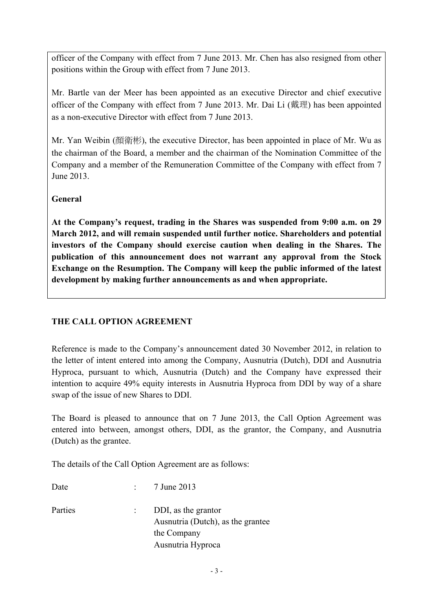officer of the Company with effect from 7 June 2013. Mr. Chen has also resigned from other positions within the Group with effect from 7 June 2013.

Mr. Bartle van der Meer has been appointed as an executive Director and chief executive officer of the Company with effect from 7 June 2013. Mr. Dai Li (戴理) has been appointed as a non-executive Director with effect from 7 June 2013.

Mr. Yan Weibin (顏衛彬), the executive Director, has been appointed in place of Mr. Wu as the chairman of the Board, a member and the chairman of the Nomination Committee of the Company and a member of the Remuneration Committee of the Company with effect from 7 June 2013.

### **General**

**At the Company's request, trading in the Shares was suspended from 9:00 a.m. on 29 March 2012, and will remain suspended until further notice. Shareholders and potential investors of the Company should exercise caution when dealing in the Shares. The publication of this announcement does not warrant any approval from the Stock Exchange on the Resumption. The Company will keep the public informed of the latest development by making further announcements as and when appropriate.**

### **THE CALL OPTION AGREEMENT**

Reference is made to the Company's announcement dated 30 November 2012, in relation to the letter of intent entered into among the Company, Ausnutria (Dutch), DDI and Ausnutria Hyproca, pursuant to which, Ausnutria (Dutch) and the Company have expressed their intention to acquire 49% equity interests in Ausnutria Hyproca from DDI by way of a share swap of the issue of new Shares to DDI.

The Board is pleased to announce that on 7 June 2013, the Call Option Agreement was entered into between, amongst others, DDI, as the grantor, the Company, and Ausnutria (Dutch) as the grantee.

The details of the Call Option Agreement are as follows:

| $\therefore$ 7 June 2013                                                                     |
|----------------------------------------------------------------------------------------------|
| DDI, as the grantor<br>Ausnutria (Dutch), as the grantee<br>the Company<br>Ausnutria Hyproca |
|                                                                                              |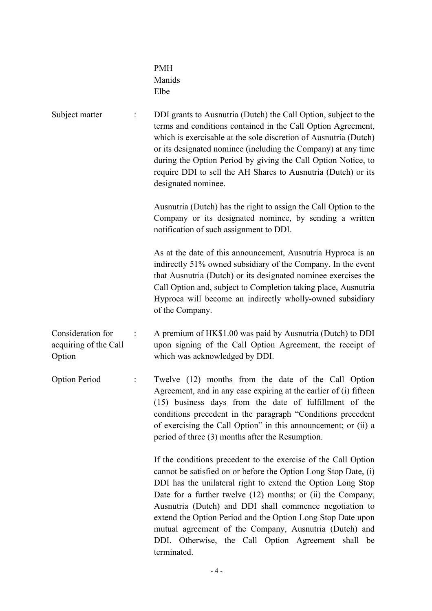|                                                      | <b>PMH</b><br>Manids<br>Elbe                                                                                                                                                                                                                                                                                                                                                                                                                                                                                             |
|------------------------------------------------------|--------------------------------------------------------------------------------------------------------------------------------------------------------------------------------------------------------------------------------------------------------------------------------------------------------------------------------------------------------------------------------------------------------------------------------------------------------------------------------------------------------------------------|
| Subject matter                                       | DDI grants to Ausnutria (Dutch) the Call Option, subject to the<br>terms and conditions contained in the Call Option Agreement,<br>which is exercisable at the sole discretion of Ausnutria (Dutch)<br>or its designated nominee (including the Company) at any time<br>during the Option Period by giving the Call Option Notice, to<br>require DDI to sell the AH Shares to Ausnutria (Dutch) or its<br>designated nominee.                                                                                            |
|                                                      | Ausnutria (Dutch) has the right to assign the Call Option to the<br>Company or its designated nominee, by sending a written<br>notification of such assignment to DDI.                                                                                                                                                                                                                                                                                                                                                   |
|                                                      | As at the date of this announcement, Ausnutria Hyproca is an<br>indirectly 51% owned subsidiary of the Company. In the event<br>that Ausnutria (Dutch) or its designated nominee exercises the<br>Call Option and, subject to Completion taking place, Ausnutria<br>Hyproca will become an indirectly wholly-owned subsidiary<br>of the Company.                                                                                                                                                                         |
| Consideration for<br>acquiring of the Call<br>Option | A premium of HK\$1.00 was paid by Ausnutria (Dutch) to DDI<br>upon signing of the Call Option Agreement, the receipt of<br>which was acknowledged by DDI.                                                                                                                                                                                                                                                                                                                                                                |
| <b>Option Period</b>                                 | Twelve (12) months from the date of the Call Option<br>Agreement, and in any case expiring at the earlier of (i) fifteen<br>(15) business days from the date of fulfillment of the<br>conditions precedent in the paragraph "Conditions precedent<br>of exercising the Call Option" in this announcement; or (ii) a<br>period of three (3) months after the Resumption.                                                                                                                                                  |
|                                                      | If the conditions precedent to the exercise of the Call Option<br>cannot be satisfied on or before the Option Long Stop Date, (i)<br>DDI has the unilateral right to extend the Option Long Stop<br>Date for a further twelve (12) months; or (ii) the Company,<br>Ausnutria (Dutch) and DDI shall commence negotiation to<br>extend the Option Period and the Option Long Stop Date upon<br>mutual agreement of the Company, Ausnutria (Dutch) and<br>DDI. Otherwise, the Call Option Agreement shall be<br>terminated. |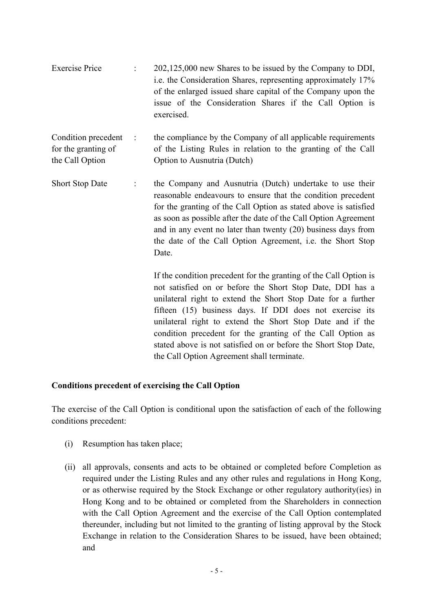| <b>Exercise Price</b>                                         |           | 202,125,000 new Shares to be issued by the Company to DDI,<br>i.e. the Consideration Shares, representing approximately 17%<br>of the enlarged issued share capital of the Company upon the<br>issue of the Consideration Shares if the Call Option is<br>exercised.                                                                                                                                      |
|---------------------------------------------------------------|-----------|-----------------------------------------------------------------------------------------------------------------------------------------------------------------------------------------------------------------------------------------------------------------------------------------------------------------------------------------------------------------------------------------------------------|
| Condition precedent<br>for the granting of<br>the Call Option | $\sim$ 1. | the compliance by the Company of all applicable requirements<br>of the Listing Rules in relation to the granting of the Call<br>Option to Ausnutria (Dutch)                                                                                                                                                                                                                                               |
| <b>Short Stop Date</b>                                        | ÷         | the Company and Ausnutria (Dutch) undertake to use their<br>reasonable endeavours to ensure that the condition precedent<br>for the granting of the Call Option as stated above is satisfied<br>as soon as possible after the date of the Call Option Agreement<br>and in any event no later than twenty $(20)$ business days from<br>the date of the Call Option Agreement, i.e. the Short Stop<br>Date. |
|                                                               |           | If the condition precedent for the granting of the Call Option is<br>not satisfied on or before the Short Stop Date, DDI has a<br>unilateral right to extend the Short Stop Date for a further<br>fifteen (15) business days. If DDI does not exercise its<br>unilateral right to extend the Short Stop Date and if the<br>condition precedent for the granting of the Call Option as                     |

#### **Conditions precedent of exercising the Call Option**

The exercise of the Call Option is conditional upon the satisfaction of each of the following conditions precedent:

the Call Option Agreement shall terminate.

stated above is not satisfied on or before the Short Stop Date,

- (i) Resumption has taken place;
- (ii) all approvals, consents and acts to be obtained or completed before Completion as required under the Listing Rules and any other rules and regulations in Hong Kong, or as otherwise required by the Stock Exchange or other regulatory authority(ies) in Hong Kong and to be obtained or completed from the Shareholders in connection with the Call Option Agreement and the exercise of the Call Option contemplated thereunder, including but not limited to the granting of listing approval by the Stock Exchange in relation to the Consideration Shares to be issued, have been obtained; and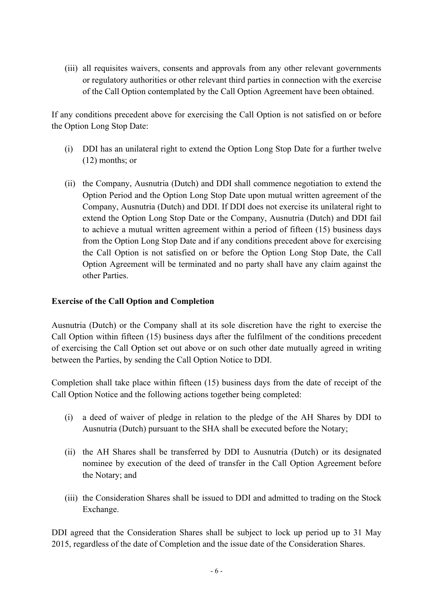(iii) all requisites waivers, consents and approvals from any other relevant governments or regulatory authorities or other relevant third parties in connection with the exercise of the Call Option contemplated by the Call Option Agreement have been obtained.

If any conditions precedent above for exercising the Call Option is not satisfied on or before the Option Long Stop Date:

- (i) DDI has an unilateral right to extend the Option Long Stop Date for a further twelve (12) months; or
- (ii) the Company, Ausnutria (Dutch) and DDI shall commence negotiation to extend the Option Period and the Option Long Stop Date upon mutual written agreement of the Company, Ausnutria (Dutch) and DDI. If DDI does not exercise its unilateral right to extend the Option Long Stop Date or the Company, Ausnutria (Dutch) and DDI fail to achieve a mutual written agreement within a period of fifteen (15) business days from the Option Long Stop Date and if any conditions precedent above for exercising the Call Option is not satisfied on or before the Option Long Stop Date, the Call Option Agreement will be terminated and no party shall have any claim against the other Parties.

#### **Exercise of the Call Option and Completion**

Ausnutria (Dutch) or the Company shall at its sole discretion have the right to exercise the Call Option within fifteen (15) business days after the fulfilment of the conditions precedent of exercising the Call Option set out above or on such other date mutually agreed in writing between the Parties, by sending the Call Option Notice to DDI.

Completion shall take place within fifteen (15) business days from the date of receipt of the Call Option Notice and the following actions together being completed:

- (i) a deed of waiver of pledge in relation to the pledge of the AH Shares by DDI to Ausnutria (Dutch) pursuant to the SHA shall be executed before the Notary;
- (ii) the AH Shares shall be transferred by DDI to Ausnutria (Dutch) or its designated nominee by execution of the deed of transfer in the Call Option Agreement before the Notary; and
- (iii) the Consideration Shares shall be issued to DDI and admitted to trading on the Stock Exchange.

DDI agreed that the Consideration Shares shall be subject to lock up period up to 31 May 2015, regardless of the date of Completion and the issue date of the Consideration Shares.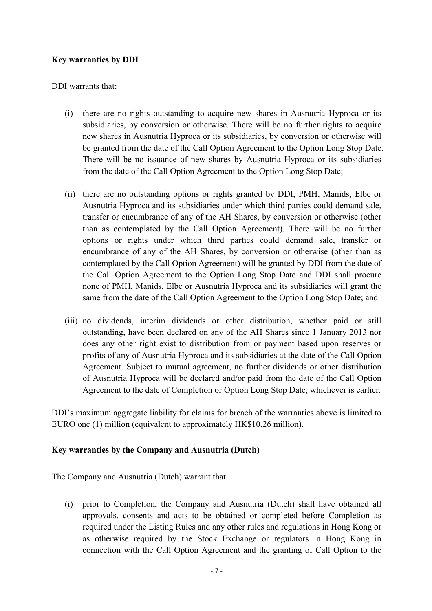### **Key warranties by DDI**

DDI warrants that:

- (i) there are no rights outstanding to acquire new shares in Ausnutria Hyproca or its subsidiaries, by conversion or otherwise. There will be no further rights to acquire new shares in Ausnutria Hyproca or its subsidiaries, by conversion or otherwise will be granted from the date of the Call Option Agreement to the Option Long Stop Date. There will be no issuance of new shares by Ausnutria Hyproca or its subsidiaries from the date of the Call Option Agreement to the Option Long Stop Date;
- (ii) there are no outstanding options or rights granted by DDI, PMH, Manids, Elbe or Ausnutria Hyproca and its subsidiaries under which third parties could demand sale, transfer or encumbrance of any of the AH Shares, by conversion or otherwise (other than as contemplated by the Call Option Agreement). There will be no further options or rights under which third parties could demand sale, transfer or encumbrance of any of the AH Shares, by conversion or otherwise (other than as contemplated by the Call Option Agreement) will be granted by DDI from the date of the Call Option Agreement to the Option Long Stop Date and DDI shall procure none of PMH, Manids, Elbe or Ausnutria Hyproca and its subsidiaries will grant the same from the date of the Call Option Agreement to the Option Long Stop Date; and
- (iii) no dividends, interim dividends or other distribution, whether paid or still outstanding, have been declared on any of the AH Shares since 1 January 2013 nor does any other right exist to distribution from or payment based upon reserves or profits of any of Ausnutria Hyproca and its subsidiaries at the date of the Call Option Agreement. Subject to mutual agreement, no further dividends or other distribution of Ausnutria Hyproca will be declared and/or paid from the date of the Call Option Agreement to the date of Completion or Option Long Stop Date, whichever is earlier.

DDI's maximum aggregate liability for claims for breach of the warranties above is limited to EURO one (1) million (equivalent to approximately HK\$10.26 million).

#### **Key warranties by the Company and Ausnutria (Dutch)**

The Company and Ausnutria (Dutch) warrant that:

(i) prior to Completion, the Company and Ausnutria (Dutch) shall have obtained all approvals, consents and acts to be obtained or completed before Completion as required under the Listing Rules and any other rules and regulations in Hong Kong or as otherwise required by the Stock Exchange or regulators in Hong Kong in connection with the Call Option Agreement and the granting of Call Option to the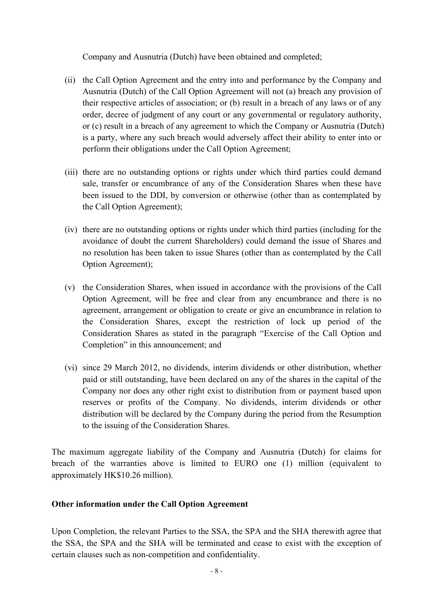Company and Ausnutria (Dutch) have been obtained and completed;

- (ii) the Call Option Agreement and the entry into and performance by the Company and Ausnutria (Dutch) of the Call Option Agreement will not (a) breach any provision of their respective articles of association; or (b) result in a breach of any laws or of any order, decree of judgment of any court or any governmental or regulatory authority, or (c) result in a breach of any agreement to which the Company or Ausnutria (Dutch) is a party, where any such breach would adversely affect their ability to enter into or perform their obligations under the Call Option Agreement;
- (iii) there are no outstanding options or rights under which third parties could demand sale, transfer or encumbrance of any of the Consideration Shares when these have been issued to the DDI, by conversion or otherwise (other than as contemplated by the Call Option Agreement);
- (iv) there are no outstanding options or rights under which third parties (including for the avoidance of doubt the current Shareholders) could demand the issue of Shares and no resolution has been taken to issue Shares (other than as contemplated by the Call Option Agreement);
- (v) the Consideration Shares, when issued in accordance with the provisions of the Call Option Agreement, will be free and clear from any encumbrance and there is no agreement, arrangement or obligation to create or give an encumbrance in relation to the Consideration Shares, except the restriction of lock up period of the Consideration Shares as stated in the paragraph "Exercise of the Call Option and Completion" in this announcement; and
- (vi) since 29 March 2012, no dividends, interim dividends or other distribution, whether paid or still outstanding, have been declared on any of the shares in the capital of the Company nor does any other right exist to distribution from or payment based upon reserves or profits of the Company. No dividends, interim dividends or other distribution will be declared by the Company during the period from the Resumption to the issuing of the Consideration Shares.

The maximum aggregate liability of the Company and Ausnutria (Dutch) for claims for breach of the warranties above is limited to EURO one (1) million (equivalent to approximately HK\$10.26 million).

### **Other information under the Call Option Agreement**

Upon Completion, the relevant Parties to the SSA, the SPA and the SHA therewith agree that the SSA, the SPA and the SHA will be terminated and cease to exist with the exception of certain clauses such as non-competition and confidentiality.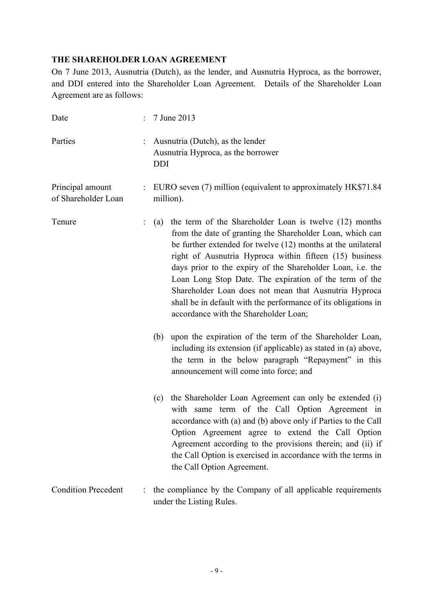### **THE SHAREHOLDER LOAN AGREEMENT**

On 7 June 2013, Ausnutria (Dutch), as the lender, and Ausnutria Hyproca, as the borrower, and DDI entered into the Shareholder Loan Agreement. Details of the Shareholder Loan Agreement are as follows:

| Date                                    |   | 7 June 2013                                                                                                                                                                                                                                                                                                                                                                                                                                                                                                                                       |  |  |
|-----------------------------------------|---|---------------------------------------------------------------------------------------------------------------------------------------------------------------------------------------------------------------------------------------------------------------------------------------------------------------------------------------------------------------------------------------------------------------------------------------------------------------------------------------------------------------------------------------------------|--|--|
| Parties                                 |   | Ausnutria (Dutch), as the lender<br>Ausnutria Hyproca, as the borrower<br><b>DDI</b>                                                                                                                                                                                                                                                                                                                                                                                                                                                              |  |  |
| Principal amount<br>of Shareholder Loan |   | : EURO seven (7) million (equivalent to approximately HK\$71.84<br>million).                                                                                                                                                                                                                                                                                                                                                                                                                                                                      |  |  |
| Tenure                                  |   | the term of the Shareholder Loan is twelve (12) months<br>(a)<br>from the date of granting the Shareholder Loan, which can<br>be further extended for twelve (12) months at the unilateral<br>right of Ausnutria Hyproca within fifteen (15) business<br>days prior to the expiry of the Shareholder Loan, i.e. the<br>Loan Long Stop Date. The expiration of the term of the<br>Shareholder Loan does not mean that Ausnutria Hyproca<br>shall be in default with the performance of its obligations in<br>accordance with the Shareholder Loan; |  |  |
|                                         |   | upon the expiration of the term of the Shareholder Loan,<br>(b)<br>including its extension (if applicable) as stated in (a) above,<br>the term in the below paragraph "Repayment" in this<br>announcement will come into force; and                                                                                                                                                                                                                                                                                                               |  |  |
|                                         |   | the Shareholder Loan Agreement can only be extended (i)<br>(c)<br>with same term of the Call Option Agreement in<br>accordance with (a) and (b) above only if Parties to the Call<br>Option Agreement agree to extend the Call Option<br>Agreement according to the provisions therein; and (ii) if<br>the Call Option is exercised in accordance with the terms in<br>the Call Option Agreement.                                                                                                                                                 |  |  |
| <b>Condition Precedent</b>              | ÷ | the compliance by the Company of all applicable requirements<br>under the Listing Rules.                                                                                                                                                                                                                                                                                                                                                                                                                                                          |  |  |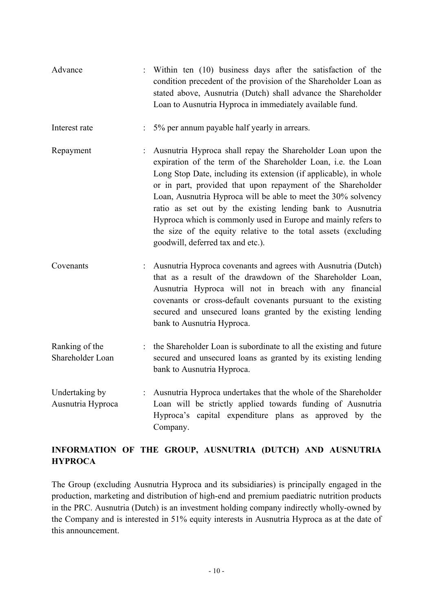| Advance |  |  |  |  | : Within ten (10) business days after the satisfaction of the   |  |
|---------|--|--|--|--|-----------------------------------------------------------------|--|
|         |  |  |  |  | condition precedent of the provision of the Shareholder Loan as |  |
|         |  |  |  |  | stated above, Ausnutria (Dutch) shall advance the Shareholder   |  |
|         |  |  |  |  | Loan to Ausnutria Hyproca in immediately available fund.        |  |

- Interest rate : 5% per annum payable half yearly in arrears.
- Repayment : Ausnutria Hyproca shall repay the Shareholder Loan upon the expiration of the term of the Shareholder Loan, i.e. the Loan Long Stop Date, including its extension (if applicable), in whole or in part, provided that upon repayment of the Shareholder Loan, Ausnutria Hyproca will be able to meet the 30% solvency ratio as set out by the existing lending bank to Ausnutria Hyproca which is commonly used in Europe and mainly refers to the size of the equity relative to the total assets (excluding goodwill, deferred tax and etc.).
- Covenants : Ausnutria Hyproca covenants and agrees with Ausnutria (Dutch) that as a result of the drawdown of the Shareholder Loan, Ausnutria Hyproca will not in breach with any financial covenants or cross-default covenants pursuant to the existing secured and unsecured loans granted by the existing lending bank to Ausnutria Hyproca.
- Ranking of the Shareholder Loan : the Shareholder Loan is subordinate to all the existing and future secured and unsecured loans as granted by its existing lending bank to Ausnutria Hyproca.
- Undertaking by Ausnutria Hyproca : Ausnutria Hyproca undertakes that the whole of the Shareholder Loan will be strictly applied towards funding of Ausnutria Hyproca's capital expenditure plans as approved by the Company.

### **INFORMATION OF THE GROUP, AUSNUTRIA (DUTCH) AND AUSNUTRIA HYPROCA**

The Group (excluding Ausnutria Hyproca and its subsidiaries) is principally engaged in the production, marketing and distribution of high-end and premium paediatric nutrition products in the PRC. Ausnutria (Dutch) is an investment holding company indirectly wholly-owned by the Company and is interested in 51% equity interests in Ausnutria Hyproca as at the date of this announcement.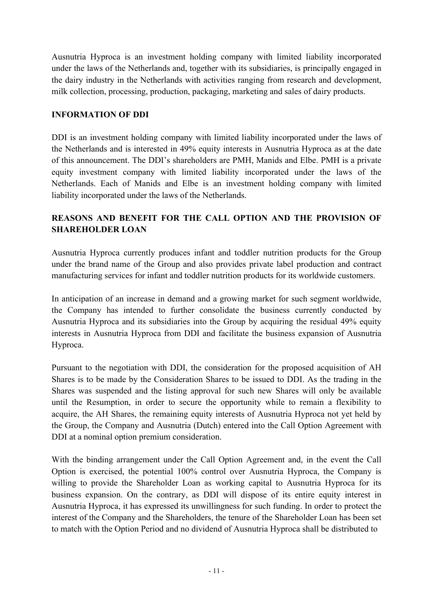Ausnutria Hyproca is an investment holding company with limited liability incorporated under the laws of the Netherlands and, together with its subsidiaries, is principally engaged in the dairy industry in the Netherlands with activities ranging from research and development, milk collection, processing, production, packaging, marketing and sales of dairy products.

### **INFORMATION OF DDI**

DDI is an investment holding company with limited liability incorporated under the laws of the Netherlands and is interested in 49% equity interests in Ausnutria Hyproca as at the date of this announcement. The DDI's shareholders are PMH, Manids and Elbe. PMH is a private equity investment company with limited liability incorporated under the laws of the Netherlands. Each of Manids and Elbe is an investment holding company with limited liability incorporated under the laws of the Netherlands.

### **REASONS AND BENEFIT FOR THE CALL OPTION AND THE PROVISION OF SHAREHOLDER LOAN**

Ausnutria Hyproca currently produces infant and toddler nutrition products for the Group under the brand name of the Group and also provides private label production and contract manufacturing services for infant and toddler nutrition products for its worldwide customers.

In anticipation of an increase in demand and a growing market for such segment worldwide, the Company has intended to further consolidate the business currently conducted by Ausnutria Hyproca and its subsidiaries into the Group by acquiring the residual 49% equity interests in Ausnutria Hyproca from DDI and facilitate the business expansion of Ausnutria Hyproca.

Pursuant to the negotiation with DDI, the consideration for the proposed acquisition of AH Shares is to be made by the Consideration Shares to be issued to DDI. As the trading in the Shares was suspended and the listing approval for such new Shares will only be available until the Resumption, in order to secure the opportunity while to remain a flexibility to acquire, the AH Shares, the remaining equity interests of Ausnutria Hyproca not yet held by the Group, the Company and Ausnutria (Dutch) entered into the Call Option Agreement with DDI at a nominal option premium consideration.

With the binding arrangement under the Call Option Agreement and, in the event the Call Option is exercised, the potential 100% control over Ausnutria Hyproca, the Company is willing to provide the Shareholder Loan as working capital to Ausnutria Hyproca for its business expansion. On the contrary, as DDI will dispose of its entire equity interest in Ausnutria Hyproca, it has expressed its unwillingness for such funding. In order to protect the interest of the Company and the Shareholders, the tenure of the Shareholder Loan has been set to match with the Option Period and no dividend of Ausnutria Hyproca shall be distributed to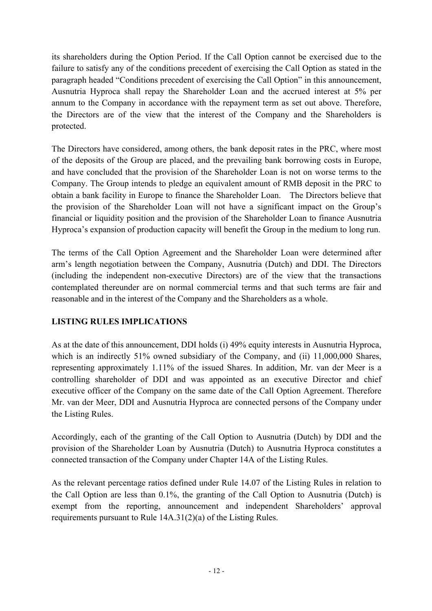its shareholders during the Option Period. If the Call Option cannot be exercised due to the failure to satisfy any of the conditions precedent of exercising the Call Option as stated in the paragraph headed "Conditions precedent of exercising the Call Option" in this announcement, Ausnutria Hyproca shall repay the Shareholder Loan and the accrued interest at 5% per annum to the Company in accordance with the repayment term as set out above. Therefore, the Directors are of the view that the interest of the Company and the Shareholders is protected.

The Directors have considered, among others, the bank deposit rates in the PRC, where most of the deposits of the Group are placed, and the prevailing bank borrowing costs in Europe, and have concluded that the provision of the Shareholder Loan is not on worse terms to the Company. The Group intends to pledge an equivalent amount of RMB deposit in the PRC to obtain a bank facility in Europe to finance the Shareholder Loan. The Directors believe that the provision of the Shareholder Loan will not have a significant impact on the Group's financial or liquidity position and the provision of the Shareholder Loan to finance Ausnutria Hyproca's expansion of production capacity will benefit the Group in the medium to long run.

The terms of the Call Option Agreement and the Shareholder Loan were determined after arm's length negotiation between the Company, Ausnutria (Dutch) and DDI. The Directors (including the independent non-executive Directors) are of the view that the transactions contemplated thereunder are on normal commercial terms and that such terms are fair and reasonable and in the interest of the Company and the Shareholders as a whole.

### **LISTING RULES IMPLICATIONS**

As at the date of this announcement, DDI holds (i) 49% equity interests in Ausnutria Hyproca, which is an indirectly 51% owned subsidiary of the Company, and (ii) 11,000,000 Shares, representing approximately 1.11% of the issued Shares. In addition, Mr. van der Meer is a controlling shareholder of DDI and was appointed as an executive Director and chief executive officer of the Company on the same date of the Call Option Agreement. Therefore Mr. van der Meer, DDI and Ausnutria Hyproca are connected persons of the Company under the Listing Rules.

Accordingly, each of the granting of the Call Option to Ausnutria (Dutch) by DDI and the provision of the Shareholder Loan by Ausnutria (Dutch) to Ausnutria Hyproca constitutes a connected transaction of the Company under Chapter 14A of the Listing Rules.

As the relevant percentage ratios defined under Rule 14.07 of the Listing Rules in relation to the Call Option are less than 0.1%, the granting of the Call Option to Ausnutria (Dutch) is exempt from the reporting, announcement and independent Shareholders' approval requirements pursuant to Rule 14A.31(2)(a) of the Listing Rules.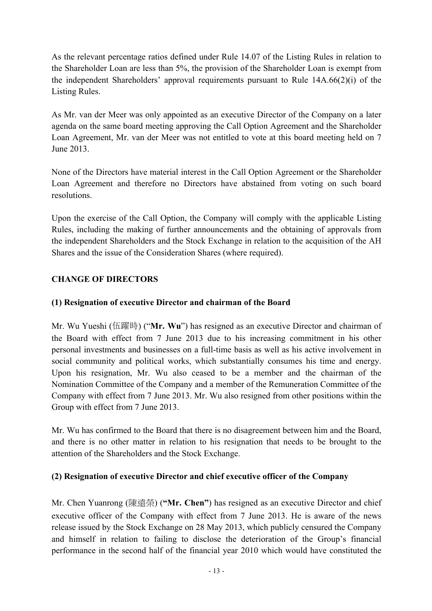As the relevant percentage ratios defined under Rule 14.07 of the Listing Rules in relation to the Shareholder Loan are less than 5%, the provision of the Shareholder Loan is exempt from the independent Shareholders' approval requirements pursuant to Rule 14A.66(2)(i) of the Listing Rules.

As Mr. van der Meer was only appointed as an executive Director of the Company on a later agenda on the same board meeting approving the Call Option Agreement and the Shareholder Loan Agreement, Mr. van der Meer was not entitled to vote at this board meeting held on 7 June 2013.

None of the Directors have material interest in the Call Option Agreement or the Shareholder Loan Agreement and therefore no Directors have abstained from voting on such board resolutions.

Upon the exercise of the Call Option, the Company will comply with the applicable Listing Rules, including the making of further announcements and the obtaining of approvals from the independent Shareholders and the Stock Exchange in relation to the acquisition of the AH Shares and the issue of the Consideration Shares (where required).

### **CHANGE OF DIRECTORS**

### **(1) Resignation of executive Director and chairman of the Board**

Mr. Wu Yueshi (伍躍時) ("**Mr. Wu**") has resigned as an executive Director and chairman of the Board with effect from 7 June 2013 due to his increasing commitment in his other personal investments and businesses on a full-time basis as well as his active involvement in social community and political works, which substantially consumes his time and energy. Upon his resignation, Mr. Wu also ceased to be a member and the chairman of the Nomination Committee of the Company and a member of the Remuneration Committee of the Company with effect from 7 June 2013. Mr. Wu also resigned from other positions within the Group with effect from 7 June 2013.

Mr. Wu has confirmed to the Board that there is no disagreement between him and the Board, and there is no other matter in relation to his resignation that needs to be brought to the attention of the Shareholders and the Stock Exchange.

### **(2) Resignation of executive Director and chief executive officer of the Company**

Mr. Chen Yuanrong (陳遠榮) (**"Mr. Chen"**) has resigned as an executive Director and chief executive officer of the Company with effect from 7 June 2013. He is aware of the news release issued by the Stock Exchange on 28 May 2013, which publicly censured the Company and himself in relation to failing to disclose the deterioration of the Group's financial performance in the second half of the financial year 2010 which would have constituted the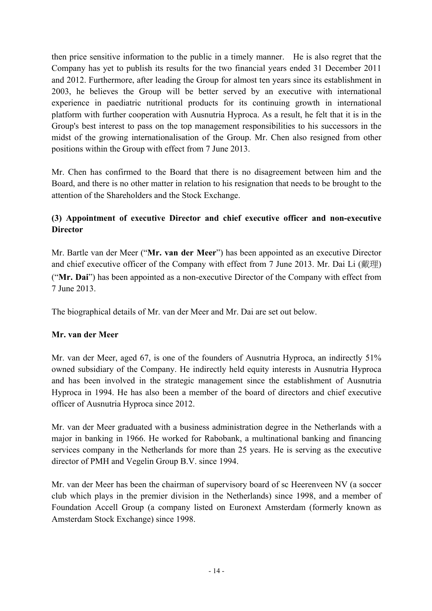then price sensitive information to the public in a timely manner. He is also regret that the Company has yet to publish its results for the two financial years ended 31 December 2011 and 2012. Furthermore, after leading the Group for almost ten years since its establishment in 2003, he believes the Group will be better served by an executive with international experience in paediatric nutritional products for its continuing growth in international platform with further cooperation with Ausnutria Hyproca. As a result, he felt that it is in the Group's best interest to pass on the top management responsibilities to his successors in the midst of the growing internationalisation of the Group. Mr. Chen also resigned from other positions within the Group with effect from 7 June 2013.

Mr. Chen has confirmed to the Board that there is no disagreement between him and the Board, and there is no other matter in relation to his resignation that needs to be brought to the attention of the Shareholders and the Stock Exchange.

### **(3) Appointment of executive Director and chief executive officer and non-executive Director**

Mr. Bartle van der Meer ("**Mr. van der Meer**") has been appointed as an executive Director and chief executive officer of the Company with effect from 7 June 2013. Mr. Dai Li (戴理) ("**Mr. Dai**") has been appointed as a non-executive Director of the Company with effect from 7 June 2013.

The biographical details of Mr. van der Meer and Mr. Dai are set out below.

### **Mr. van der Meer**

Mr. van der Meer, aged 67, is one of the founders of Ausnutria Hyproca, an indirectly 51% owned subsidiary of the Company. He indirectly held equity interests in Ausnutria Hyproca and has been involved in the strategic management since the establishment of Ausnutria Hyproca in 1994. He has also been a member of the board of directors and chief executive officer of Ausnutria Hyproca since 2012.

Mr. van der Meer graduated with a business administration degree in the Netherlands with a major in banking in 1966. He worked for Rabobank, a multinational banking and financing services company in the Netherlands for more than 25 years. He is serving as the executive director of PMH and Vegelin Group B.V. since 1994.

Mr. van der Meer has been the chairman of supervisory board of sc Heerenveen NV (a soccer club which plays in the premier division in the Netherlands) since 1998, and a member of Foundation Accell Group (a company listed on Euronext Amsterdam (formerly known as Amsterdam Stock Exchange) since 1998.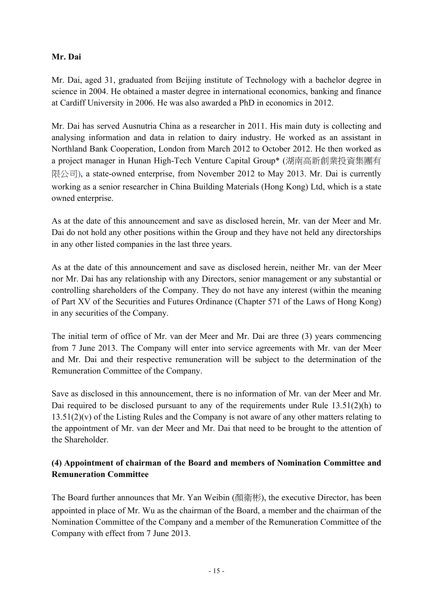### **Mr. Dai**

Mr. Dai, aged 31, graduated from Beijing institute of Technology with a bachelor degree in science in 2004. He obtained a master degree in international economics, banking and finance at Cardiff University in 2006. He was also awarded a PhD in economics in 2012.

Mr. Dai has served Ausnutria China as a researcher in 2011. His main duty is collecting and analysing information and data in relation to dairy industry. He worked as an assistant in Northland Bank Cooperation, London from March 2012 to October 2012. He then worked as a project manager in Hunan High-Tech Venture Capital Group\* (湖南高新創業投資集團有 限公司), a state-owned enterprise, from November 2012 to May 2013. Mr. Dai is currently working as a senior researcher in China Building Materials (Hong Kong) Ltd, which is a state owned enterprise.

As at the date of this announcement and save as disclosed herein, Mr. van der Meer and Mr. Dai do not hold any other positions within the Group and they have not held any directorships in any other listed companies in the last three years.

As at the date of this announcement and save as disclosed herein, neither Mr. van der Meer nor Mr. Dai has any relationship with any Directors, senior management or any substantial or controlling shareholders of the Company. They do not have any interest (within the meaning of Part XV of the Securities and Futures Ordinance (Chapter 571 of the Laws of Hong Kong) in any securities of the Company.

The initial term of office of Mr. van der Meer and Mr. Dai are three (3) years commencing from 7 June 2013. The Company will enter into service agreements with Mr. van der Meer and Mr. Dai and their respective remuneration will be subject to the determination of the Remuneration Committee of the Company.

Save as disclosed in this announcement, there is no information of Mr. van der Meer and Mr. Dai required to be disclosed pursuant to any of the requirements under Rule 13.51(2)(h) to 13.51(2)(v) of the Listing Rules and the Company is not aware of any other matters relating to the appointment of Mr. van der Meer and Mr. Dai that need to be brought to the attention of the Shareholder.

### **(4) Appointment of chairman of the Board and members of Nomination Committee and Remuneration Committee**

The Board further announces that Mr. Yan Weibin (顏衛彬), the executive Director, has been appointed in place of Mr. Wu as the chairman of the Board, a member and the chairman of the Nomination Committee of the Company and a member of the Remuneration Committee of the Company with effect from 7 June 2013.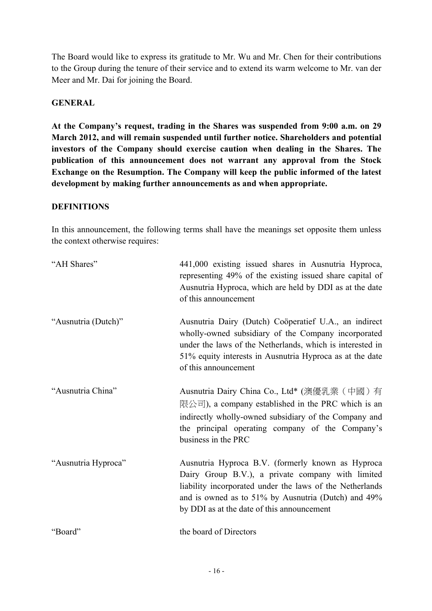The Board would like to express its gratitude to Mr. Wu and Mr. Chen for their contributions to the Group during the tenure of their service and to extend its warm welcome to Mr. van der Meer and Mr. Dai for joining the Board.

#### **GENERAL**

**At the Company's request, trading in the Shares was suspended from 9:00 a.m. on 29 March 2012, and will remain suspended until further notice. Shareholders and potential investors of the Company should exercise caution when dealing in the Shares. The publication of this announcement does not warrant any approval from the Stock Exchange on the Resumption. The Company will keep the public informed of the latest development by making further announcements as and when appropriate.**

#### **DEFINITIONS**

In this announcement, the following terms shall have the meanings set opposite them unless the context otherwise requires:

| "AH Shares"         | 441,000 existing issued shares in Ausnutria Hyproca,<br>representing 49% of the existing issued share capital of<br>Ausnutria Hyproca, which are held by DDI as at the date<br>of this announcement                                                                     |
|---------------------|-------------------------------------------------------------------------------------------------------------------------------------------------------------------------------------------------------------------------------------------------------------------------|
| "Ausnutria (Dutch)" | Ausnutria Dairy (Dutch) Cooperatief U.A., an indirect<br>wholly-owned subsidiary of the Company incorporated<br>under the laws of the Netherlands, which is interested in<br>51% equity interests in Ausnutria Hyproca as at the date<br>of this announcement           |
| "Ausnutria China"   | Ausnutria Dairy China Co., Ltd* (澳優乳業 (中國) 有<br>限公司), a company established in the PRC which is an<br>indirectly wholly-owned subsidiary of the Company and<br>the principal operating company of the Company's<br>business in the PRC                                  |
| "Ausnutria Hyproca" | Ausnutria Hyproca B.V. (formerly known as Hyproca<br>Dairy Group B.V.), a private company with limited<br>liability incorporated under the laws of the Netherlands<br>and is owned as to 51% by Ausnutria (Dutch) and 49%<br>by DDI as at the date of this announcement |
| "Board"             | the board of Directors                                                                                                                                                                                                                                                  |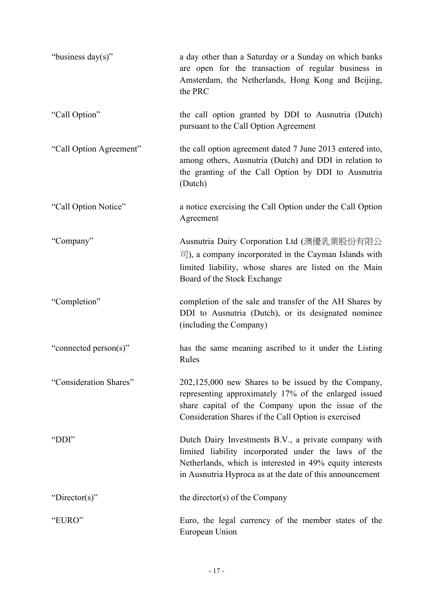| "business day(s)"       | a day other than a Saturday or a Sunday on which banks<br>are open for the transaction of regular business in<br>Amsterdam, the Netherlands, Hong Kong and Beijing,<br>the PRC                                                       |
|-------------------------|--------------------------------------------------------------------------------------------------------------------------------------------------------------------------------------------------------------------------------------|
| "Call Option"           | the call option granted by DDI to Ausnutria (Dutch)<br>pursuant to the Call Option Agreement                                                                                                                                         |
| "Call Option Agreement" | the call option agreement dated 7 June 2013 entered into,<br>among others, Ausnutria (Dutch) and DDI in relation to<br>the granting of the Call Option by DDI to Ausnutria<br>(Dutch)                                                |
| "Call Option Notice"    | a notice exercising the Call Option under the Call Option<br>Agreement                                                                                                                                                               |
| "Company"               | Ausnutria Dairy Corporation Ltd (澳優乳業股份有限公<br>$\overline{\overline{z}}$ ), a company incorporated in the Cayman Islands with<br>limited liability, whose shares are listed on the Main<br>Board of the Stock Exchange                |
| "Completion"            | completion of the sale and transfer of the AH Shares by<br>DDI to Ausnutria (Dutch), or its designated nominee<br>(including the Company)                                                                                            |
| "connected person(s)"   | has the same meaning ascribed to it under the Listing<br>Rules                                                                                                                                                                       |
| "Consideration Shares"  | 202,125,000 new Shares to be issued by the Company,<br>representing approximately 17% of the enlarged issued<br>share capital of the Company upon the issue of the<br>Consideration Shares if the Call Option is exercised           |
| "DDI"                   | Dutch Dairy Investments B.V., a private company with<br>limited liability incorporated under the laws of the<br>Netherlands, which is interested in 49% equity interests<br>in Ausnutria Hyproca as at the date of this announcement |
| "Director(s)"           | the director(s) of the Company                                                                                                                                                                                                       |
| "EURO"                  | Euro, the legal currency of the member states of the<br>European Union                                                                                                                                                               |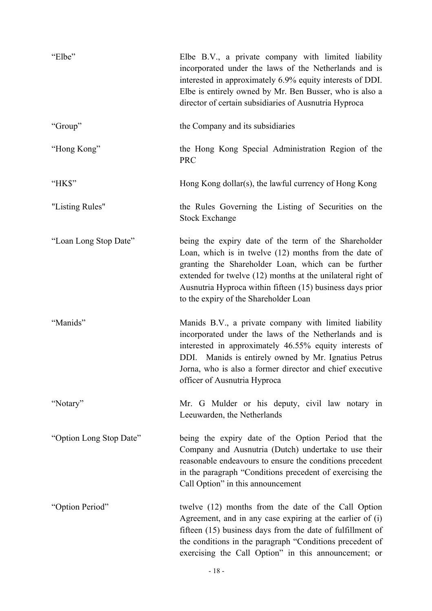| "Elbe"                  | Elbe B.V., a private company with limited liability<br>incorporated under the laws of the Netherlands and is<br>interested in approximately 6.9% equity interests of DDI.<br>Elbe is entirely owned by Mr. Ben Busser, who is also a<br>director of certain subsidiaries of Ausnutria Hyproca                                            |
|-------------------------|------------------------------------------------------------------------------------------------------------------------------------------------------------------------------------------------------------------------------------------------------------------------------------------------------------------------------------------|
| "Group"                 | the Company and its subsidiaries                                                                                                                                                                                                                                                                                                         |
| "Hong Kong"             | the Hong Kong Special Administration Region of the<br><b>PRC</b>                                                                                                                                                                                                                                                                         |
| "HK\$"                  | Hong Kong dollar(s), the lawful currency of Hong Kong                                                                                                                                                                                                                                                                                    |
| "Listing Rules"         | the Rules Governing the Listing of Securities on the<br><b>Stock Exchange</b>                                                                                                                                                                                                                                                            |
| "Loan Long Stop Date"   | being the expiry date of the term of the Shareholder<br>Loan, which is in twelve (12) months from the date of<br>granting the Shareholder Loan, which can be further<br>extended for twelve (12) months at the unilateral right of<br>Ausnutria Hyproca within fifteen (15) business days prior<br>to the expiry of the Shareholder Loan |
| "Manids"                | Manids B.V., a private company with limited liability<br>incorporated under the laws of the Netherlands and is<br>interested in approximately 46.55% equity interests of<br>DDI. Manids is entirely owned by Mr. Ignatius Petrus<br>Jorna, who is also a former director and chief executive<br>officer of Ausnutria Hyproca             |
| "Notary"                | Mr. G Mulder or his deputy, civil law notary in<br>Leeuwarden, the Netherlands                                                                                                                                                                                                                                                           |
| "Option Long Stop Date" | being the expiry date of the Option Period that the<br>Company and Ausnutria (Dutch) undertake to use their<br>reasonable endeavours to ensure the conditions precedent<br>in the paragraph "Conditions precedent of exercising the<br>Call Option" in this announcement                                                                 |
| "Option Period"         | twelve (12) months from the date of the Call Option<br>Agreement, and in any case expiring at the earlier of (i)<br>fifteen (15) business days from the date of fulfillment of<br>the conditions in the paragraph "Conditions precedent of<br>exercising the Call Option" in this announcement; or                                       |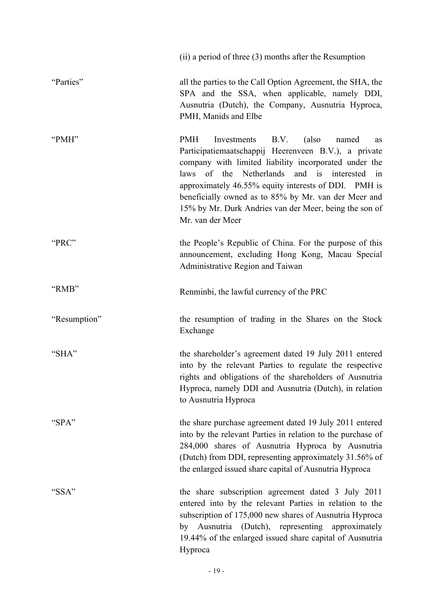|              | $(ii)$ a period of three $(3)$ months after the Resumption                                                                                                                                                                                                                                                                                                                                                                     |
|--------------|--------------------------------------------------------------------------------------------------------------------------------------------------------------------------------------------------------------------------------------------------------------------------------------------------------------------------------------------------------------------------------------------------------------------------------|
| "Parties"    | all the parties to the Call Option Agreement, the SHA, the<br>SPA and the SSA, when applicable, namely DDI,<br>Ausnutria (Dutch), the Company, Ausnutria Hyproca,<br>PMH, Manids and Elbe                                                                                                                                                                                                                                      |
| "PMH"        | <b>PMH</b><br>B.V.<br>(also<br>Investments<br>named<br>as<br>Participatiemaatschappij Heerenveen B.V.), a private<br>company with limited liability incorporated under the<br>laws of the Netherlands and is<br>interested<br>in<br>approximately 46.55% equity interests of DDI. PMH is<br>beneficially owned as to 85% by Mr. van der Meer and<br>15% by Mr. Durk Andries van der Meer, being the son of<br>Mr. van der Meer |
| "PRC"        | the People's Republic of China. For the purpose of this<br>announcement, excluding Hong Kong, Macau Special<br>Administrative Region and Taiwan                                                                                                                                                                                                                                                                                |
| "RMB"        | Renminbi, the lawful currency of the PRC                                                                                                                                                                                                                                                                                                                                                                                       |
| "Resumption" | the resumption of trading in the Shares on the Stock<br>Exchange                                                                                                                                                                                                                                                                                                                                                               |
| "SHA"        | the shareholder's agreement dated 19 July 2011 entered<br>into by the relevant Parties to regulate the respective<br>rights and obligations of the shareholders of Ausnutria<br>Hyproca, namely DDI and Ausnutria (Dutch), in relation<br>to Ausnutria Hyproca                                                                                                                                                                 |
| "SPA"        | the share purchase agreement dated 19 July 2011 entered<br>into by the relevant Parties in relation to the purchase of<br>284,000 shares of Ausnutria Hyproca by Ausnutria<br>(Dutch) from DDI, representing approximately 31.56% of<br>the enlarged issued share capital of Ausnutria Hyproca                                                                                                                                 |
| "SSA"        | the share subscription agreement dated 3 July 2011<br>entered into by the relevant Parties in relation to the<br>subscription of 175,000 new shares of Ausnutria Hyproca<br>by Ausnutria (Dutch), representing approximately<br>19.44% of the enlarged issued share capital of Ausnutria<br>Hyproca                                                                                                                            |